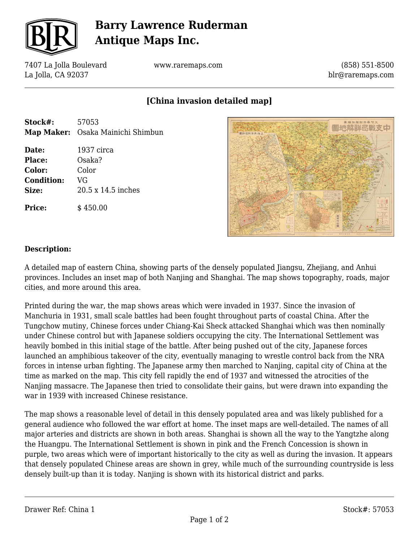

# **Barry Lawrence Ruderman Antique Maps Inc.**

7407 La Jolla Boulevard La Jolla, CA 92037

www.raremaps.com

(858) 551-8500 blr@raremaps.com

### **[China invasion detailed map]**

| Stock#:           | 57053                             |
|-------------------|-----------------------------------|
|                   | Map Maker: Osaka Mainichi Shimbun |
| Date:             | 1937 circa                        |
| Place:            | Osaka?                            |
| Color:            | Color                             |
| <b>Condition:</b> | VG                                |
| Size:             | 20.5 x 14.5 inches                |
| <b>Price:</b>     | \$450.00                          |



#### **Description:**

A detailed map of eastern China, showing parts of the densely populated Jiangsu, Zhejiang, and Anhui provinces. Includes an inset map of both Nanjing and Shanghai. The map shows topography, roads, major cities, and more around this area.

Printed during the war, the map shows areas which were invaded in 1937. Since the invasion of Manchuria in 1931, small scale battles had been fought throughout parts of coastal China. After the Tungchow mutiny, Chinese forces under Chiang-Kai Sheck attacked Shanghai which was then nominally under Chinese control but with Japanese soldiers occupying the city. The International Settlement was heavily bombed in this initial stage of the battle. After being pushed out of the city, Japanese forces launched an amphibious takeover of the city, eventually managing to wrestle control back from the NRA forces in intense urban fighting. The Japanese army then marched to Nanjing, capital city of China at the time as marked on the map. This city fell rapidly the end of 1937 and witnessed the atrocities of the Nanjing massacre. The Japanese then tried to consolidate their gains, but were drawn into expanding the war in 1939 with increased Chinese resistance.

The map shows a reasonable level of detail in this densely populated area and was likely published for a general audience who followed the war effort at home. The inset maps are well-detailed. The names of all major arteries and districts are shown in both areas. Shanghai is shown all the way to the Yangtzhe along the Huangpu. The International Settlement is shown in pink and the French Concession is shown in purple, two areas which were of important historically to the city as well as during the invasion. It appears that densely populated Chinese areas are shown in grey, while much of the surrounding countryside is less densely built-up than it is today. Nanjing is shown with its historical district and parks.